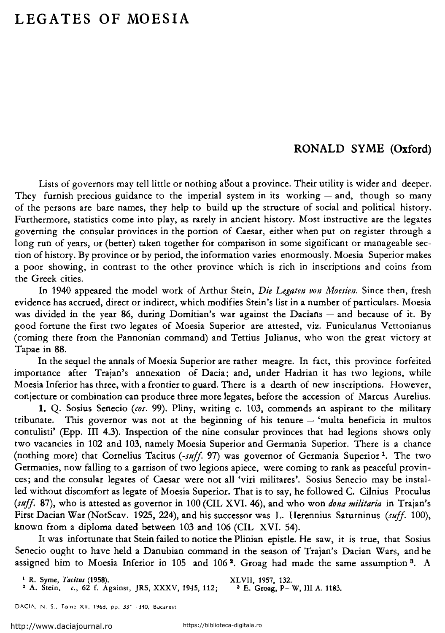## **LEGATES OF MOESIA**

## **RONALD SYME (Oxford)**

Lists of governors may tell little or nothing about a province. Their utility is wider and deeper. They furnish precious guidance to the imperial system in its working  $-$  and, though so many of the persons are bare names, they help to build up the structure of social and politica! history. Furthermore, statistics come into play, as rarely in ancient history. Most instructive are the legates governing the consular provinces in the portion of Caesar, either when put on register through a long run of years, or (better) taken together for comparison in some significant or manageable section of history. By province or by period, the information varies enormously. Moesia Superior makes a poor showing, in contrast to the other province which is rich in inscriptions and coins from the Greek cities.

In 1940 appeared the model work of Arthur Stein, *Die Legaten von Moesien.* Since then, fresh evidence has accrued, direct or indirect, which modifies Stein's !ist in a number of particulars. Moesia was divided in the year 86, during Domitian's war against the Dacians  $-$  and because of it. By good fortune the first two legates of Moesia Superior are attested, viz. Funiculanus Vettonianus (coming there from the Pannonian command) and Tettius Julianus, who won the great victory at Tapae in 88.

In the sequel the annals of Moesia Superior are rather meagre. In fact, this province forfeited importance after Trajan's annexation of Dacia; and, under Hadrian it has two legions, while Moesia Inferior has three, with a frontier to guard. There is a dearth of new inscriptions. However, conjecture or combination can produce three more legates, before the accession of Marcus Aurelius.

**1.** Q. Sosius Senecio *(cos.* 99). Pliny, writing c. 103, commends an aspirant to the military tribunate. This governor was not at the beginning of his tenure  $-$  'multa beneficia in multos contulisti' (Epp. III 4.3). Inspection of the nine consular provinces that had legions shows only two vacancies in 102 and 103, namely Moesia Superior and Germania Superior. There is a chance (nothing more) that Cornelius Tacitus *(-suff.* 97) was governor of Germania Superior 1. The two Germanies, now falling to a garrison of two legions apiece, were coming to rank as peaceful provinces; and the consular legates of Caesar were not all 'viri militares'. Sosius Senecio may he installed without discomfort as legate of Moesia Superior. That is to say, he followed C. Cilnius Proculus *(suff.* 87), who is attested as governor in 100 (CIL XVI. 46), and who won *dona militaria* in Trajan's First Dacian War (NotScav. 1925, 224), and his successor was L. Herennius Saturninus *(suff.* 100), known from a diploma dated between 103 and 106 (CIL XVI. 54).

It was infortunate that Stein failed to notice the Plinian epistle. He saw, it is true, that Sosius Senecio ought to have held a Danubian command in the season of Trajan's Dacian Wars, and he assigned him to Moesia Inferior in 105 and 106<sup>2</sup>. Groag had made the same assumption<sup>3</sup>. A

1 R. Syme, *Ta,itus* (1958). XLVII, 1957, 132. 2 A. Stein, '·· 62 f. Againsr, JRS, XXXV, 1945, 112; a E. Groag, P-W, III A. 1183.

DACIA, N. S., To ne XII, 1968, pp. 331-340, Bucarest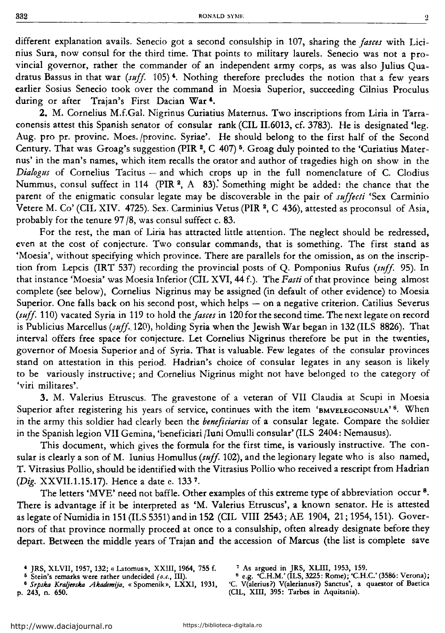different explanation avails. Senecio got a second consulship in 107, sharing the *Jasces* with Licinius Sura, now consul for the third time. That points to military laurels. Senecio was not a provincial governor, rather the commander of an independent army corps, as was also Julius Quadratus Bassus in that war (suff. 105)<sup>4</sup>. Nothing therefore precludes the notion that a few years earlier Sosius Senecio took over the command in Moesia Superior, succeeding Cilnius Proculus during or after Trajan's First Dacian War<sup>4</sup>.

2. M. Cornelius M.f.Gal. Nigrinus Curiatius Maternus. Two inscriptions from Liria in Tarraconensis attest this Spanish senator of consular rank (CIL II.6013, cf. 3783). He is designated 'leg. Aug. pro pr. provine. Moes. /provinc. Syriae'. He should helong to the first half of the Second Century. That was Groag's suggestion (PIR 2, C 407) 6• Groag duly pointed to the 'Curiatius Maternus' in the man's names, which item recalls the orator and author of tragedies high on show in the Dialogus of Cornelius Tacitus - and which crops up in the full nomenclature of C. Clodius Nummus, consul suffect in 114 (PIR<sup>2</sup>, A 83). Something might be added: the chance that the parent of the enigmatic consular legate may he discoverahle in the pair of *suffecti* 'Sex Carminio Vetere M. Co' (CIL XIV. 4725). Sex. Carminius Vetus (PIR  $2$ , C 436), attested as proconsul of Asia, prohahly for the tenure 97 /8, was consul suffect c. 83.

For the rest, the man of Liria has attracted little attention. The neglect should he redressed, even at the cost of conjecture. Two consular commands, that is something. The first stand as 'Moesia', without specifying which province. There are parallels for the omission, as on the inscription from Lepcis (IRT 537) recording the provincial posts of Q. Pomponius Rufus *(sufj.* 95). In that instance 'Moesia' was Moesia Inferior (CIL XVI, 44 f.). The *Fasti* of that province heing almost complete (see below), Cornelius Nigrinus may be assigned (in default of other evidence) to Moesia Superior. One falls back on his second post, which helps  $-$  on a negative criterion. Catilius Severus *(suff.* 11 O) vacated Syria in 119 to hold the *Jasces* in 120 for the second time. The next legate on record is Puhlicius Marcellus *(suff..120),* holding Syria when the Jewish War hegan in 132 (ILS 8826). That interval offers free space for conjecture. Let Cornelius Nigrinus therefore he put in the twenties, governor of Moesia Superior and of Syria. That is valuahle. Few legates of the consular provinces stand on attestation in this period. Hadrian's choice of consular legates in any season is likely to be variously instructive; and Cornelius Nigrinus might not have helonged to the category of 'viri militares'.

3. M. Valerius Etruscus. The gravestone of a veteran of VII Claudia at Scupi in Moesia Superior after registering his years of service, continues with the item 'BMVELEGCONSULA'<sup>6</sup>. When in the army this soldier had clearly been the *beneficiarius* of a consular legate. Compare the soldier in the Spanish legion VII Gemina, 'beneficiari /luni Omu!li consular' (ILS 2404: Nemausus).

This document, which gives the formula for the first time, is variously instructive. The consular is clearly a son of M. Iunius Homullus *(suff.* 102), and the legionary legate who is also named, T. Vitrasius Pollio, should he identified with the Vitrasius Pollio who received a rescript from Hadrian *(Dig. XXVII.1.15.17).* Hence a date c. 1337.

The letters 'MVE' need not baffle. Other examples of this extreme type of abbreviation occur<sup>8</sup>. There is advantage if it he interpreted as 'M. Valerius Etruscus', a known senator. He is attested as legate of Numidia in 151 (ILS 5351) and in 152 (CIL VIII 2543; AE 1904, 21; 1954, 151). Governors of that province normally proceed at once to a consulship, often already designate hefore they depart. Between the middle years of Trajan and the accession of Marcus (the list is complete save

<sup>&#</sup>x27; JRS, XLVII, 1957, 132; « Latornus», XXIII, 1964, 755 f. 6 Stein's remarks were rather undecided *( o.;"* III). 8 *Srpska Kraljevska Akademija,* « Spornenik», LXXI, 1931,

p. 243, n. 650.

<sup>&</sup>lt;sup>7</sup> As argued in JRS, XLIII, 1953, 159.<br><sup>8</sup> e.g. <sup>4</sup>C H M <sup>2</sup> (II S 3225: Rome): <sup>4</sup>C H

s e.g. 'C.H.M.' (ILS, 3225: Rome); 'C.H.C.' (3586: Verona); 'C. V(alerius ?) V(alerianus ?) Sanctus', a quaestor of Baetica

<sup>(</sup>CIL, XIII, 395: Tarbes in Aquitania).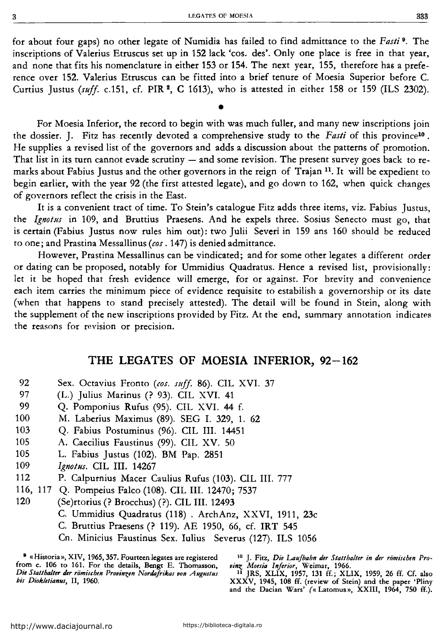for ahout faur gaps) no other legate of Numidia has failed to find admittance to the *Fasti* <sup>9</sup> . The inscriptions of Valerius Etruscus setup in 152 lack 'cos. des'. Only one place is free in that year, and none that fits his nomenclature in either 153 or 154. The next year, 155, therefore has a preference over 152. Valerius Etruscus can he fitted into a hrief tenure of Moesia Superior hefore C. Curtius Justus (suff. c.151, cf. PIR<sup>2</sup>, C 1613), who is attested in either 158 or 159 (ILS 2302).

•

For Moesia Inferior, the record to hegin with was much fuller, and many new inscriptions join the dossier. J. Fitz has recently devoted a comprehensive study to the *Fasti* of this province10 • He supplies a revised list of the governors and adds a discussion ahout the patterns of promotion. That list in its turn cannot evade scrutiny  $-$  and some revision. The present survey goes back to remarks about Fabius Justus and the other governors in the reign of Trajan  $11$ . It will be expedient to hegin earlier, with the year 92 (the first attested legate), and go down to 162, when quick changes of governors reflect the crisis in the East.

lt is a convenient tract of time. To Stein's catalogue Fitz adds three items, viz. Fahius Justus, the *Ignotus* in 109, and Bruttius Praesens. And he expels three. Sosius Senecto must go, that is certain (Fahius Justus now rules him out): two Julii Severi in 159 ans 160 should be reduced to one; and Prastina Messallinus *(cos.* 147) is denied admittance.

However, Prastina Messallinus can he vindicated; and for some other legates a different order or dating can he proposed, notahly for Ummidius Quadratus. Hence a revised !ist, provisionally: let it be hoped that fresh evidence will emerge, for or against. For brevity and convenience each item carries the minimum piece of evidence requisite to estahilish a governorship or its date (when that happens to stand precisely attested). The detail will he found in Stein, along with the supplement of the new inscriptions provided hy Fitz. At the end, summary annotation indicates the reasons for revision or precision.

## **THE LEGATES OF MOESIA INFERIOR, 92-162**

- 92 Sex. Octavius Fronto *(cos. sriff.* 86). CIL XVI. 37
- 97 (L.) Julius Marinus (? 93). CIL XVI. 41
- 99 Q. Pomponius Rufus (95). CIL XVI. 44 f.
- 100 M. Laherius Maximus (89). SEG I. 329, 1. 62
- 103 Q. Fahius Postuminus (96). CIL III. 14451
- 105 A. Caecilius Faustinus (99). CIL XV. 50
- 105 L. Fahius Justus (102). BM Pap. 2851
- 109 *lgnotus.* CIL III. 14267
- 112 P. Calpurnius Macer Caulius Rufus (103). CIL III. 777
- 116, 117 Q. Pompeius Falco (108). CIL III. 12470; 7537
- 120 (Se)rtorius (? Brocchus) (?). CIL III. 12493
	- C. Ummidius Quadratus (118) . ArchAnz, XXVI, 1911, 23c
	- C. Bruttius Praesens (? 119). AE 1950, 66, cf. IRT 545
	- Cn. Minicius Faustinus Sex. Iulius Severus (127). ILS 1056

<sup>9</sup> «Historia», XIV, 1965, 357. Fourteen legates are registered from c. 106 to 161. For the details, Bengt E. Thomasson, Die Statthalter der römischen Provinzen Nordafrikas von Augustus bis Diokletianus, II, 1960.

<sup>10</sup> J. Fitz, Die Laufbahn der Statthalter in der römischen Pro*vinz. Moesia Inferior,* Weimar, 1966. 11 JRS, XLIX, 1957, 131 ff.; XLIX, 1959, 26 ff. Cf. also

XXXV, 1945, 108 ff. (review of Stein) and the paper 'Pliny and the Dacian Wars' *(«* Latomus», XXIII, 1964, 750 ff.).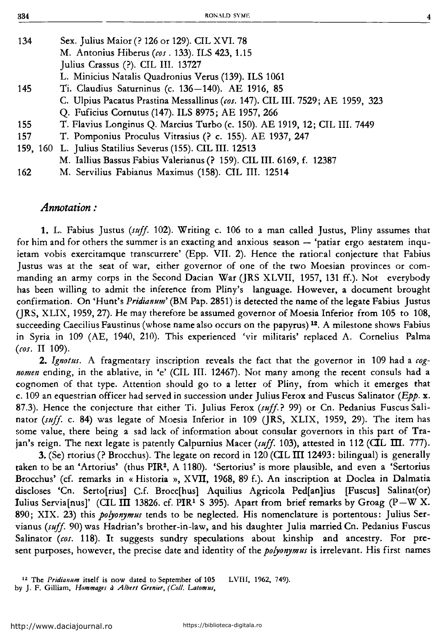| 134 | Sex. Julius Maior (? 126 or 129). CIL XVI. 78                                  |
|-----|--------------------------------------------------------------------------------|
|     | M. Antonius Hiberus (cos. 133). ILS 423, 1.15                                  |
|     | Julius Crassus (?). CIL III. 13727                                             |
|     | L. Minicius Natalis Quadronius Verus (139). ILS 1061                           |
| 145 | Ti. Claudius Saturninus (c. 136-140). AE 1916, 85                              |
|     | C. Ulpius Pacatus Prastina Messallinus (cos. 147). CIL III. 7529; AE 1959, 323 |
|     | Q. Fuficius Cornutus (147). ILS 8975; AE 1957, 266                             |
| 155 | T. Flavius Longinus Q. Marcius Turbo (c. 150). AE 1919, 12; CIL III. 7449      |
| 157 | T. Pomponius Proculus Vitrasius (? c. 155). AE 1937, 247                       |
|     | 159, 160 L. Julius Statilius Severus (155). CIL III. 12513                     |
|     | M. Iallius Bassus Fabius Valerianus (? 159). CIL III. 6169, f. 12387           |
| 162 | M. Servilius Fabianus Maximus (158). CIL III. 12514                            |

## *Annotation :*

1. L. Fabius Justus *(suff.* 102). Writing c. 106 to a man called Justus, Pliny assumes that for him and for others the summer is an exacting and anxious season  $-$  'patiar ergo aestatem inquietam vobis exercitamque transcurrere' (Epp. VII. 2). Hence the rational conjecture that Fabius Justus was at the seat of war, either governor of one of the two Moesian provinces or commanding an army corps in the Second Dacian War (JRS XLVII, 1957, 131 ff.). Not everybody has been willing to admit the inference from Pliny's language. However, a document brought confirmation. On 'Hunt's *Pridianum'* (BM Pap. 2851) is detected the name ofthe legate Fabius Justus (JRS, XLIX, 1959, 27). He may therefore be assumed governor of Moesia Inferior from 105 to 108, succeeding Caecilius Faustinus (whose name also occurs on the papyrus)<sup>12</sup>. A milestone shows Fabius in Syria in 109 (AE, 1940, 210). This experienced 'vir militaris' replaced A. Cornelius Palma *(ros.* II 109).

2. *Ignotus.* A fragmentary inscription reveals the fact that the governor in 109 had a *cognomen* ending, in the ablative, in 'e' (CIL III. 12467). Not many among the recent consuls had a cognomen of that type. Attention should go to a letter of Pliny, from which it emerges that c. 109 an equestrian officer had served in succession under Julius Ferox and Fuscus Salinator *(Epp.* x. 87.3). Hence the conjecture that either Ti. Julius Ferox *(suff.?* 99) or Cn. Pedanius Fuscus Salina tor *(suff.* c. 84) was legate of Moesia Inferior in 109 (JRS, XLIX, 1959, 29). The item has some value, there being a sad lack of information about consular governors in this part of Trajan's reign. The next legate is patently Calpurnius Macer (suff. 103), attested in 112 (CIL III. 777).

**3.** (Se) rtorius (? Brocchus). The legate on record in  $120$  (CIL III 12493: bilingual) is generally taken to be an 'Artorius' (thus PIR2, A 1180). 'Sertorius' is more plausible, and even a 'Sertorius Brocchus' (cf. remarks in « Historia », XVII, 1968, 89 f.). An inscription at Dodea in Dalmatia discloses 'Cn. Serto[rius] C.f. Brocc[hus] Aquilius Agricola Ped[an]ius [Fuscus] Salinat(or) Iulius Servia[nus]' (CIL III 13826. cf. PIR<sup>1</sup> S 395). Apart from brief remarks by Groag (P-W X. 890; XIX. 23) this *po!Jonymus* tends to be neglected. His nomenclature is portentous: Julius Servianus *(suff.* 90) was Hadrian's brother-in-law, and his daughter Julia married Cn. Pedanius Fuscus Salinator *(cos.* 118). It suggests sundry speculations about kinship and ancestry. For present purposes, however, the precise date and identity of the *po!Jonymus* is irrelevant. His first names

<sup>12</sup> The *Pridianum* itself is now dated to September of 105 LVIII, 1962, 749). by J. F. Gilliam, *Hommager a A/beri Grenier, (Coli. Lalomns,*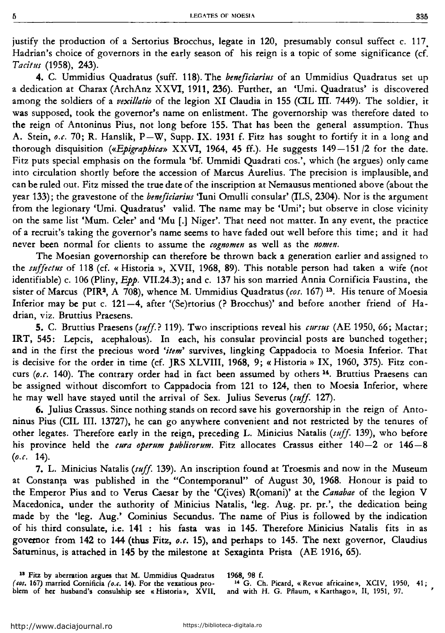justify the production of a Sertorius Brocchus, legate in 120, presumably consul suffect c. 117, Hadrian's choice of governors in the early season of his reign is a topic of some significance (cf. *Tacitus* (1958), 243).

4. C. Ummidius Quadratus (suff. 118). The *beneficiarius* of an Ummidius Quadratus set up a dedication at Charax (ArchAnz XXVI, 1911, 236). Further, an 'Umi. Quadratus' is discovered among the soldiers of a *vexillatio* of the legion XI Claudia in 155 (CIL III. 7449). The soldier, it was supposed, took the govemor's name on enlistment. The governorship was therefore dated to the reign of Antoninus Pius, not long before 155. That has been the general assumption. Thus A. Stein, *o.c.* 70; R. Hanslik, P-W, Supp. IX. 1931 f. Fitz has sought to fortify it in a long and thorough disquisition *(«Epigraphica»* XXVI, 1964, 45 ff.). He suggests 149-151 /2 for the date. Fitz puts special emphasis on the formula 'bf. Ummidi Quadrati cos.', which (he argues) only came into circulation shortly before the accession of Marcus Aurelius. The precision is implausible, and can he ruled out. Fitz missed the true date of the inscription at Nemausus mentioned above (about the year 133); the gravestone of the *beneficiarius* 'luni Omulli consular' (ILS, 2304). Nor is the argument from the legionary 'Umi. Quadratus' valid. The name may be 'Umi'; but observe in close vicinity on the same list 'Mum. Celer' and 'Mu [.] Niger'. That need not matter. ln any event, the practice of a recruit's taking the governor's name seems to have faded out well before this time; and it had never been normal for clients to assume the *cognomen* as well as the *nomen.* 

The Moesian governorship can therefore be thrown back a generation earlier and assigned to the *s1iffectus* of 118 (cf. « Historia », XVII, 1968, 89). This notable persan had taken a wife (not identifiable) c. 106 (Pliny, *Epp.* VII.24.3); and c. 137 his son married Annia Cornificia Faustina, the sister of Marcus (PIR3, A 708), whence M. Ummidius Quadratus *(cos.* 167) 13• His tenure of Moesia Inferior may be put c. 121-4, after '(Se)rtorius (? Brocchus)' and before another friend of Hadrian, viz. Bruttius Praesens.

5. C. Bruttius Praesens *(suff?* 119). Two inscriptioas reveal his *cursus* (AE 1950, 66; Mactar; IRT, 545: Lepcis, acephalous). In each, his consular provincial posts are bunched together; and in the first the precious word *'item'* survives, lingking Cappadocia to Moesia Inferior. That is decisive for the order ia time (cf. JRS XLVIII, 1968, 9; « Historia » IX, 1960, 375). Fitz concurs *(o.c.* 140). The contrary order had in fact been assumed by others <sup>14</sup>. Bruttius Praesens can he assigned without discomfort to Cappadocia from 121 to 124, then to Moesia Inferior, where he may well have stayed until the arrival of Sex. Julius Severus *(suff* 127).

6. Julius Crassus. Since nothing stands on record save his governorship in the reign of Antoninus Pius (CIL III. 13727), he can go anywhere convenient and not restricted by the tenures of other legates. Therefore early in the reign, preceding L. Minicius Natalis *(s11ff* 139), who before his province held the *cura operum publicorum*. Fitz allocates Crassus either 140-2 or 146-8 *(o.c.* 14).

7. L. Minicius Natalis *(suff* 139). An inscription fouad at Troesmis and now in the Museum at Constanța was published in the "Contemporanul" of August 30, 1968. Honour is paid to the Emperor Pius aad to Verus Caesar by the 'C(ives) R(omani)' at the *Canabae* of the legion V Macedonica, under the authority of Minicius Natalis, 'leg. Aug. pr. pr.', the dedicatioa being made by the 'leg. Aug.' Cominius Secundus. The name of Pius is followed by the indication of his third consulate, i.e. 141 : his fasta was ia 145. Therefore Minicius Natalis fits in as governor from 142 to 144 (thus Fitz, *o.c.* 15), and perhaps to 145. The next governor, Claudius Satuminus, is attached ia 145 by the milestone at Sexagiata Prista (AE 1916, 65).

<sup>13</sup> Fitz by aberration argues that M. Ummidius Quadratus (cos. 167) married Cornificia (o.c. 14). For the vexatious problem of her husband's consulship sec « Historia», XVII, 1968, 98 f.

14 G. Ch. Picard, « Revue africaine», XCIV, 1950, 41; and with H. G. Pflaum, « Karthago », II, 1951, 97.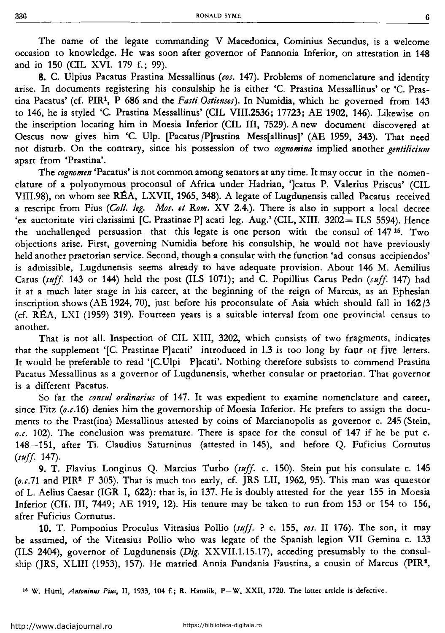The name of the legate commanding V Macedonica, Cominius Secundus, is a welcome occasion to knowledge. He was soon after govemor of Pannonia Inferior, on attestation in 148 and in 150 (CIL XVI. 179 f.; 99).

8. C. Ulpius Pacatus Prastina Messallinus *(cos.* 147). Prohlems of nomenclature and identity arise. In documents registering his consulship he is either 'C. Prastina Messallinus' or 'C. Prastina Pacatus' (cf. PIR1, P 686 and the *Fasti Ostienses).* ln Numidia, which he governed from 143 to 146, he is styled 'C. Prastina Messallinus' (CIL VIII.2536; 17723; AE 1902, 146). Likewise on the inscription locating him in Moesia Inferior (CIL III, 7529). A new document discovered at Oescus now gives him 'C. Ulp. [Pacatus /P]rastina Mess[allinus]' (AE 1959, 343). That need not disturh. On the contrary, since his possession of two *cognomina* implied another *gentilicium*  apart from 'Prastina'.

The *cognomen* 'Pacatus' is not common among senators at any time. It may occur in the nomenclature of a polyonymous proconsul of Africa under Hadrian, ']catus P. Valerius Priscus' (CIL VIII.98), on whom see REA, LXVII, 1965, 348). A legate of Lugdunensis called Pacatus received a rescript from Pius *(Coli. leg. Mos. el Rom.* XV 2.4.). There is also in support a local decree 'ex auctoritate viri clarissimi [C. Prastinae P] acati leg. Aug.' (CIL, XIII. 3202= ILS 5594). Hence the unchallenged persuasion that this legate is one person with the consul of  $147^{15}$ . Two ohjections arise. First, governing Numidia hefore his consulship, he would not have previously held another praetorian service. Second, though a consular with the function 'ad consus accipiendos' is admissihle, Lugdunensis seems already to have adequate provision. Ahout 146 M. Aemilius Carus *(suff.* 143 or 144) held the post (ILS 1071); and C. Popillius Carus Pedo *(suff.* 147) had it at a much later stage in his career, at the heginning of the reign of Marcus, as an Ephesian inscription shows (AE 1924, 70), just before his proconsulate of Asia which should fall in  $162/3$ (cf. REA, LXI (1959) 319). Fourteen years is a suitahle interval from one provincial census to another.

That is not all. Inspection of CIL XIII, 3202, which consists of two fragments, indicates that the supplement '[C. Prastinae P]acati' introduced in 1.3 is too long by four or five letters. It would he preferahle to read '[C.Ulpi P]acati'. Nothing therefore suhsists to commend Prastina Pacatus Messallinus as a governor of Lugdunensis, whether consular or praetorian. That governor is a different Pacatus.

So far the *consul ordinarius* of 147. It was expedient to examine nomenclature and career, since Fitz *(o.c.16)* denies him the governorship of Moesia Inferior. He prefers to assign the documents to the Prast(ina) Messallinus attested hy coins of Marcianopolis as governor c. 245 (Stein,  $\rho.c.$  102). The conclusion was premature. There is space for the consul of 147 if he be put c. 148-151, after Ti. Claudius Saturninus (attested in 145), and before Q. Fuficius Cornutus *(suff.* 147).

9. T. Flavius Longinus Q. Marcius Turbo *(suff.* c. 150). Stein put his consulate c. 145 *(o.c.11* and PIR2 F 305). That is much too early, cf. JRS LII, 1962, 95). This man was quaestor of L. Aelius Caesar (IGR I, 622): that is, in 137. He is doubly attested for the year 155 in Moesia Inferior (CIL III, 7449; AE 1919, 12). His tenure may he taken to run from 153 or 154 to 156, after Fuficius Cornutus.

10. T. Pomponius Proculus Vitrasius Pollio *(suff.* ? c. 155, *cos.* II 176). The son, it may he assumed, of the Vitrasius Pollio who was legate of the Spanish legion VII Gemina c. 133 (ILS 2404), governor of Lugdunensis *(Dig.* XXVIl.1.15.17), acceding presumahly to the consulship (JRS, XLIII (1953), 157). He married Annia Fundania Faustina, a cousin of Marcus (PIR9,

16 W. Hiittl, *Antoninus Pius,* li, 1933, 104 f.; R. Hanslik, P-W, XXII, 1720. The latter article is defective.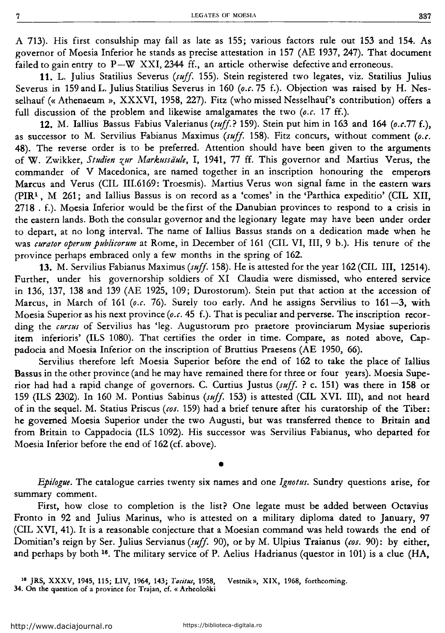A 713). His first consulship may fall as late as 155; various factors rule aut 153 and 154. As governor of Moesia Inferior he stands as precise attestation in 157 (AE 1937, 247). That document failed to gain entry to  $P-W$  XXI, 2344 ff., an article otherwise defective and erroneous.

**11.** L. Julius Statilius Severus *(suff* 155). Stein registered two legates, viz. Statilius Julius Severus in 159 and L. Julius Statilius Severus in 160 *(o.c.* 75 f.). Objection was raised by H. Nesselhauf (« Athenaeum », XXXVI, 1958, 227). Fitz (who missed Nesselhauf's contribution) offers a full discussion of the problem and likewise amalgamates the two *(o.c. 1T* ff.).

12. M. lallius Bassus Fabius Valerianus *(suff?* 159). Stein put him in 163 and 164 *(o.c.77* f.), as successor to M. Servilius Fabianus Maximus *(suff* 158). Fitz concurs, without comment *(o.c.*  48). The reverse order is to he preferred. Attention should have been given to the arguments of W. Zwikker, *Studien zur Markussaule,* I, 1941, 77 ff. This governor and Martius Veros, the commander of V Macedonica, are named together in an inscription honouring the emperors Marcus and Verus (CIL IIl.6169: Troesmis). Martius Verus won signal fame in the eastern wars  $(PIR<sup>1</sup>, M<sup>261</sup>; and Iallius Bassus is on record as a 'comes' in the 'Parthica expeditio' (CIL XII,$ 2718 . f.). Moesia Inferior would he the first of the Danubian provinces to respond to a crisis in the eastern lands. Both the consular governor and the legionary legate may have been under order to depart, at no long interval. The name of Iallius Bassus stands on a dedication made when he was *curator operum pub/icorum* at Rome, in December of 161 (CIL VI, III, 9 b.). His tenure of the province perhaps embraced only a few months in the spring of 162.

**13.** M. Servilius Fabianus Maximus *(suff.* 158). He is attested for the year 162 (CIL III, 12514). Further, under his governorship soldiers of XI Claudia were dismissed, who entered service in 136, 137, 138 and 139 (AE 1925, 109; Durostorum). Stein put that action at the accession of Marcus, in March of 161 (o.c. 76). Surely too early. And he assigns Servilius to 161-3, with Moesia Superior as his next province *(o.c.* 45 f.). That is peculiar and perverse. The inscription recording the *cursus* of Servilius has 'leg. Augustorum pro praetore provinciarum Mysiae superioris item inferioris' (ILS 1080). That certifies the order in time. Compare, as noted above, Cappadocia and Moesia Inferior an the inscription of Bruttius Praesens (AE 1950, 66).

Servllius therefore left Moesia Superior before the end of 162 to take the place of lallius Bassus in the other province (and he may have remained there for three or four years). Moesia Superior had had a rapid change of governors. C. Curtius Justus *(suff.* ? c. 151) was there in 158 or 159 (ILS 2302). In 160 M. Pontius Sabinus *(suff.* 153) is attested (CIL XVI. III), and not heard of in the sequel. M. Statius Priscus *(cos.* 159) had a brief tenure after his curatorship of the Tiber: he governed Moesia Superior under the two Augusti, but was transferred thence to Britain and from Britain to Cappadocia (ILS 1092). His successor was Servilius Fabianus, who departed for Moesia Inferior before the end of 162 (cf. above).

*Epilogue.* The catalogue carries twenty six names and one *Ignotus.* Sundry questions arise, for summary comment.

•

First, how close to completion is the list? One legate must be added between Octavius Fronto in 92 and Julius Marinus, who is attested on a military diploma dated to January, 97 (CIL XVI, 41). lt is a reasonable conjecture that a Moesian command was held towards the end of Domitian's reign by Ser. Julius Servianus *(suff* 90), or by M. Ulpius Traianus *(cos.* 90): by either, and perhaps by both 16• The military service of P. Aelius Hadrianus (questor in 101) is a clue (HA,

18 JRS, XXXV, 1945, 115; LIV, 1964, 143; *Taâtus,* 1958, Vestnik», XIX, 1968, forthcoming. 34. On the question of a province for Trajan, cf. « Arheološki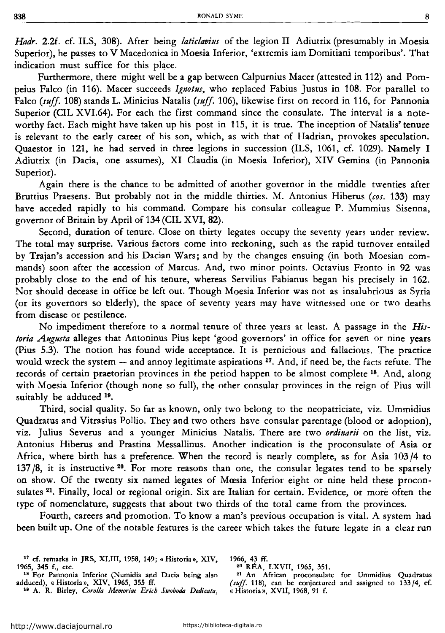*Hadr.* 2.2f. cf. ILS, 308). After heing *laticlavius* of the legion II Adiutrix (presumahly in Moesia Superior), he passes to V Macedonica in Moesia Inferior, 'extremis iam Domitiani temporihus'. That indication must suffice for this place.

Furthermore, there might well he a gap hetween Calpurnius Macer (attested în 112) and Pompeius Falco (în 116). Macer succeeds *Ignotus,* who replaced Fahius Justus în 108. For parallel to Falco *(suff* 108) stands L. Minicius Natalis *(suff* 106), likewise first on record în 116, for Pannonia Superior (CIL XVI.64). For each the first command since the consulate. The interval îs a noteworthy fact. Each might have taken up his post in 115, it îs true. The inception of Natalis' tenure is relevant to the early career of his son, which, as with that of Hadrian, provokes speculation. Quaestor în 121, he had served in three legions în succession (ILS, 1061, cf. 1029). Namely I Adiutrix (in Dacia, one assumes), XI Claudia (in Moesia Inferior), XIV Gemina (in Pannonia Superior).

Again there is the chance to he admitted of another governor in the middle twenties after Bruttius Praesens. But prohahly not in the middle thirties. M. Antonius Hiherus *(cos.* 133) may have acceded rapidly to his command. Compare his consular colleague P. Mummius Sisenna, governor of Britain hy April of 134 (CIL XVI, 82).

Second, duration of tenure. Close on thirty legates occupy the seventy years under review. The total may surprise. Various factors come into reckoning, such as the rapid turnover entailed hy Trajan's accession and his Dacian Wars; and hy the changes ensuing (in hoth Moesian commands) soon after the accession of Marcus. And, two minor points. Octavius Fronto in 92 was prohahly clase to the end of his tenure, whereas Servilius Fahianus hegan his precisely in 162. Nor should decease in office he left out. Though Moesia Inferior was not as insalubrious as Syria (or its governors so tlderly), the space of seventy years may have witnessed one or two deaths from disease or pestilence.

No impediment therefore to a normal tenure of three years at least. A passage in the *Historia Augusta* alleges that Antoninus Pius kept 'good governors' in office for seven or nine years (Pius 5.3). The notion has found wide acceptance. It is pernicious and fallacious. The practice would wreck the system  $-$  and annoy legitimate aspirations  $17$ . And, if need be, the facts refute. The records of certain praetorian provinces in the period happen to be almost complete <sup>18</sup>. And, along with Moesia Inferior (though none so full), the other consular provinces in the reign of Pius will suitably be adduced <sup>19</sup>.

Third, social quality. So far as known, only two helong to the neopatriciate, viz. Ummidius Quadratus and Vitrasius Pollio. They and two others have consular parentage (hlood or adoption), viz. Julius Severus and a younger Minicius Natalis. There are two *ordinarii* on the list, viz. Antonius Hiherus and Prastina Messallinus. Another indication is the proconsulate of Asia or Africa, where hirth has a preference. When the record is nearly complete, as for Asia 103 /4 to 137 /8, it is instructive 20• For more reasons than one, the consular legates tend to he sparsely on show. Of the twenty six named legates of Moesia Inferior eight or nine held these proconsulates <sup>21</sup>. Finally, local or regional origin. Six are Italian for certain. Evidence, or more often the type of nomenclature, suggests that ahout two thirds of the total came from the provinces.

Fourth, careers and promotion. To know a man's previous occupation îs vital. A system had been huilt up. One of the notahle features is the career which takes the future legate in a clear run

1966, 43 ff.<br><sup>20</sup> RÉA, LXVII, 1965, 351.

<sup>21</sup> An African proconsulate for Ummidius Quadratus (suff. 118), can be conjectured and assigned to  $133/4$ , cf. « Historia», XVII, 1968, 91 f.

<sup>&</sup>lt;sup>17</sup> cf. remarks in JRS, XLIII, 1958, 149; « Historia», XIV, 1965, 345 f., etc. 1965, 345 f., etc.<br><sup>18</sup> For Pannonia Inferior (Numidia and Dacia being also

adduced), « Historia», XIV, 1965, 355 ff.

<sup>18</sup> A. R. Birley, *Coroi/a Memoriae Erich Swoboda Dedicata,*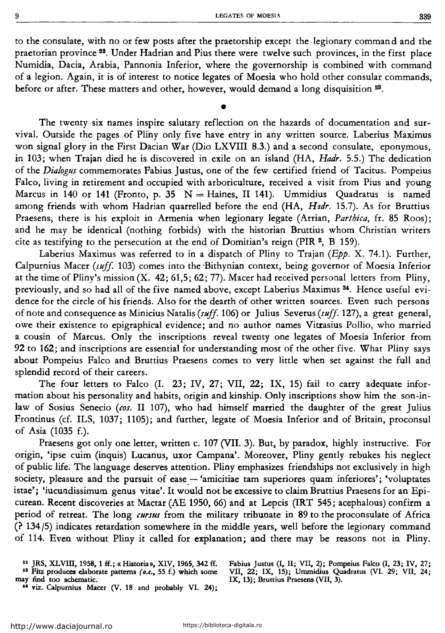to the consulate, with no or few posts after the praetorship except the legionary command and the praetorian province 22• Under Hadrian and Pius there were twelve such provinces, in the first place Numidia, Dacia, Arabia, Pannonia Inferior, where the governorship is combined with command of a legion. Again, it is of interest to notice legates of Moesia who hold other consular commands, before or after. These matters and other, however, would demand a long disquisition <sup>23</sup>.

•

The twenty six names inspire salutary reflection on the hazards of documentation and survival. Outside the pages of Pliny only five have entry in any written source. Laberius Maximus won signal glory in the First Dacian War (Dio LXVIII 8.3.) and a second consulate, eponymous, in 103; when Trajan died he is discovered in exile on an island (HA, *Hadr.* 5.5.) The dedication of the *Dialogus* commemorates Fabius Justus, one of the few certified friend of Tacitus. Pompeius Falco, living in retirement and occupied with arboriculture, received a visit from Pius and young Marcus in 140 or 141 (Fronto, p. 35  $N =$  Haines, II 141). Ummidius Quadratus is named among friends with whom Hadrian quarrelled before the end (HA, *H1dr.* 15.7). As for Bruttius Praesens, there is his exploit in Armenia when legionary legate (Arrian, *Parthica,* fr. 85 Roos); and he may be identical (nothing forbids) with the historian Bruttius whom Christian writers cite as testifying to the persecution at the end of Domitian's reign (PIR  $2$ , B 159).

Laberius Maximus was referred to in a dispatch of Pliny to Trajan ( $Epp$ . X. 74.1). Further, Calpurnius Macer *(suff.* 103) comes into the ·Bithynian context, being governor of Moesia Inferior at the time of Pliny's mission (X. 42; 61,5; 62; 77). Macer had received personal letters from Pliny, previously, and so had all of the five named above, except Laberius Maximus 24. Hence useful evidence for the circle of his friends. Also for the dearth of other written sources. Even such persons of note and consequence as Minicius Natalis *(suff.* 106) or Julius Severus *(suff.* 127), a great general, owe their existence to epigraphical evidence; and no author names Vitrasius Pollio, who married a cousin of Marcus. Only the inscriptions reveal twenty one legates of Moesia Inferior from 92 to 162; and inscriptions are essential for understanding most of the other five. What Pliny says about Pompeius Falco and Bruttius Praesens comes to very little when set against the full and splendid record of their careers.

The four letters to Falco (I. 23; IV, 27; VII, 22; IX, 15) fail to carry adequate information about his personality and habits, origin and kinship. Only inscriptions show him the son-inlaw of Sosius Senecio *(cos.* II 107), who had himself married the daughter of the great Julius Frontinus (cf. ILS, 1037; 1105); and further, legate of Moesia Inferior and of Britain, proconsul of Asia (1035 f.).

Praesens got only one letter, written c. 107 (VII. 3). But, by paradox, highly instructive. For origin, 'ipse cuim (inquis) Lucanus, uxor Campana'. Moreover, Pliny gently rebukes his neglect of public life. The language deserves attention. Pliny emphasizes friendships not exclusively in high society, pleasure and the pursuit of ease -- 'amicitiae tam superiores quam inferiores'; 'voluptates istae'; 'iucundissimum genus vitae'. It would not he excessive to claim Bruttius Praesens for an Epicurean. Recent discoveries at Mactar (AE 1950, 66) and at Lepcis (IRT 545; acephalous) confirm a period of retreat. The long *cursus* from the military tribunate in 89 to the proconsulate of Africa (? 134 /5) indicates retardation somewhere in the middle years, well before the legionary command of 114. Even without Pliny it called for explanation; and there may he reasons not in Pliny.

<sup>22</sup> JRS, XLVIII, 1958, 1 ff.; « Historia», XIV, 1965, 342 ff. <sup>23</sup> Fitz produces elaborate patterns (*o.c.*, 55 f.) which some may find too schematic.

<sup>24</sup> viz. Calpurnius Macer (V. 18 and probably VI. 24);

Fabius Justus (I, II; VII, 2); Pompeius Falco (I, 23; IV, 27; VII, 22; IX, 15); Ummidius Quadratus (VI. 29; VII, 24; IX, 13); Bruttius Praesens (VII, 3).